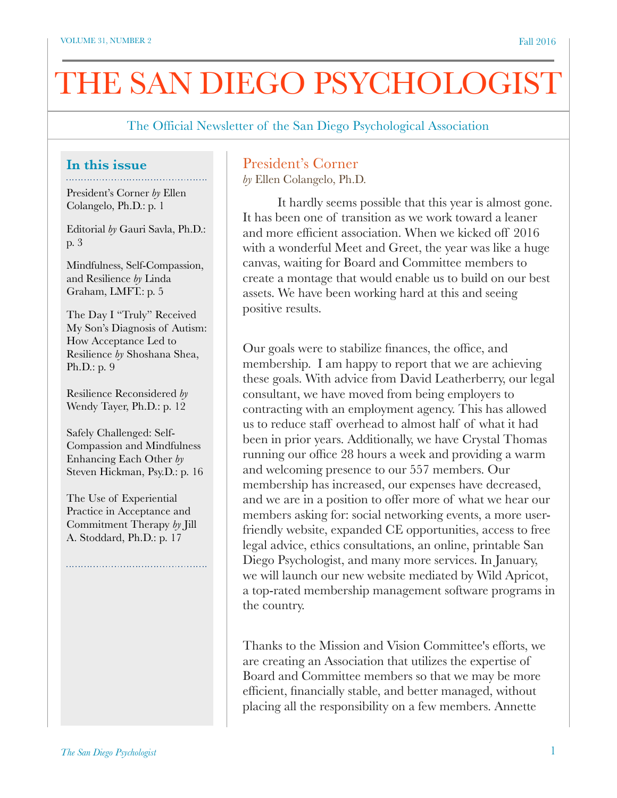# THE SAN DIEGO PSYCHOLOGIST

The Official Newsletter of the San Diego Psychological Association

### **In this issue**

President's Corner *by* Ellen Colangelo, Ph.D.: p. 1

Editorial *by* Gauri Savla, Ph.D.: p. 3

Mindfulness, Self-Compassion, and Resilience *by* Linda Graham, LMFT.: p. 5

The Day I "Truly" Received My Son's Diagnosis of Autism: How Acceptance Led to Resilience *by* Shoshana Shea, Ph.D.: p. 9

Resilience Reconsidered *by*  Wendy Tayer, Ph.D.: p. 12

Safely Challenged: Self-Compassion and Mindfulness Enhancing Each Other *by*  Steven Hickman, Psy.D.: p. 16

The Use of Experiential Practice in Acceptance and Commitment Therapy *by* Jill A. Stoddard, Ph.D.: p. 17

### President's Corner

*by* Ellen Colangelo, Ph.D.

It hardly seems possible that this year is almost gone. It has been one of transition as we work toward a leaner and more efficient association. When we kicked off 2016 with a wonderful Meet and Greet, the year was like a huge canvas, waiting for Board and Committee members to create a montage that would enable us to build on our best assets. We have been working hard at this and seeing positive results.

Our goals were to stabilize finances, the office, and membership. I am happy to report that we are achieving these goals. With advice from David Leatherberry, our legal consultant, we have moved from being employers to contracting with an employment agency. This has allowed us to reduce staff overhead to almost half of what it had been in prior years. Additionally, we have Crystal Thomas running our office 28 hours a week and providing a warm and welcoming presence to our 557 members. Our membership has increased, our expenses have decreased, and we are in a position to offer more of what we hear our members asking for: social networking events, a more userfriendly website, expanded CE opportunities, access to free legal advice, ethics consultations, an online, printable San Diego Psychologist, and many more services. In January, we will launch our new website mediated by Wild Apricot, a top-rated membership management software programs in the country.

Thanks to the Mission and Vision Committee's efforts, we are creating an Association that utilizes the expertise of Board and Committee members so that we may be more efficient, financially stable, and better managed, without placing all the responsibility on a few members. Annette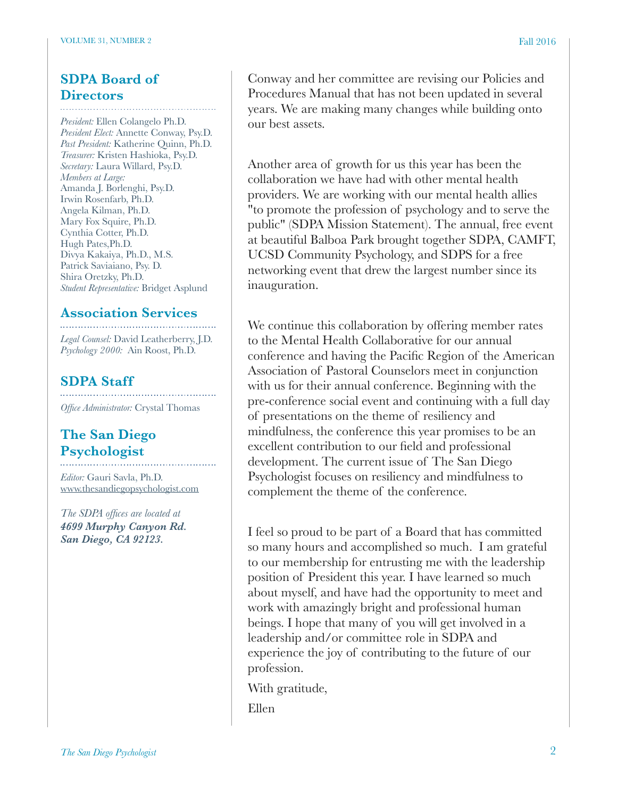### **SDPA Board of Directors**

*President:* Ellen Colangelo Ph.D. *President Elect:* Annette Conway, Psy.D. *Past President:* Katherine Quinn, Ph.D. *Treasurer:* Kristen Hashioka, Psy.D. *Secretary:* Laura Willard, Psy.D. *Members at Large:* Amanda J. Borlenghi, Psy.D. Irwin Rosenfarb, Ph.D. Angela Kilman, Ph.D. Mary Fox Squire, Ph.D. Cynthia Cotter, Ph.D. Hugh Pates,Ph.D. Divya Kakaiya, Ph.D., M.S. Patrick Saviaiano, Psy. D. Shira Oretzky, Ph.D. *Student Representative:* Bridget Asplund

### **Association Services**

*Legal Counsel:* David Leatherberry, J.D. *Psychology 2000:* Ain Roost, Ph.D.

### **SDPA Staff**

*Office Administrator:* Crystal Thomas

## **The San Diego Psychologist**

*Editor:* Gauri Savla, Ph.D. [www.thesandiegopsychologist.com](http://www.thesandiegopsychologist.com)

*The SDPA offices are located at 4699 Murphy Canyon Rd. San Diego, CA 92123.* 

Conway and her committee are revising our Policies and Procedures Manual that has not been updated in several years. We are making many changes while building onto our best assets.

Another area of growth for us this year has been the collaboration we have had with other mental health providers. We are working with our mental health allies "to promote the profession of psychology and to serve the public" (SDPA Mission Statement). The annual, free event at beautiful Balboa Park brought together SDPA, CAMFT, UCSD Community Psychology, and SDPS for a free networking event that drew the largest number since its inauguration.

We continue this collaboration by offering member rates to the Mental Health Collaborative for our annual conference and having the Pacific Region of the American Association of Pastoral Counselors meet in conjunction with us for their annual conference. Beginning with the pre-conference social event and continuing with a full day of presentations on the theme of resiliency and mindfulness, the conference this year promises to be an excellent contribution to our field and professional development. The current issue of The San Diego Psychologist focuses on resiliency and mindfulness to complement the theme of the conference.

I feel so proud to be part of a Board that has committed so many hours and accomplished so much. I am grateful to our membership for entrusting me with the leadership position of President this year. I have learned so much about myself, and have had the opportunity to meet and work with amazingly bright and professional human beings. I hope that many of you will get involved in a leadership and/or committee role in SDPA and experience the joy of contributing to the future of our profession.

With gratitude,

Ellen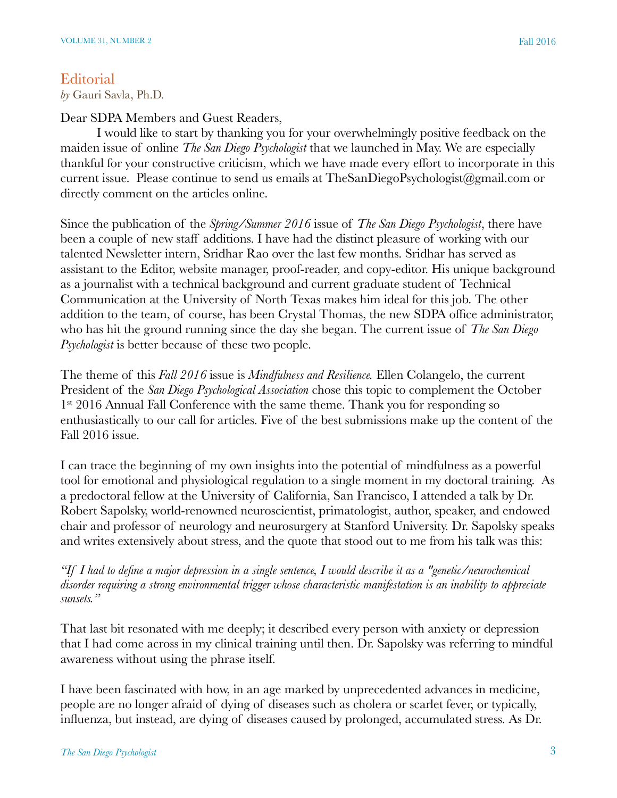### **Editorial**

*by* Gauri Savla, Ph.D.

Dear SDPA Members and Guest Readers,

I would like to start by thanking you for your overwhelmingly positive feedback on the maiden issue of online *The San Diego Psychologist* that we launched in May. We are especially thankful for your constructive criticism, which we have made every effort to incorporate in this current issue. Please continue to send us emails at TheSanDiegoPsychologist@gmail.com or directly comment on the articles online.

Since the publication of the *Spring/Summer 2016* issue of *The San Diego Psychologist*, there have been a couple of new staff additions. I have had the distinct pleasure of working with our talented Newsletter intern, Sridhar Rao over the last few months. Sridhar has served as assistant to the Editor, website manager, proof-reader, and copy-editor. His unique background as a journalist with a technical background and current graduate student of Technical Communication at the University of North Texas makes him ideal for this job. The other addition to the team, of course, has been Crystal Thomas, the new SDPA office administrator, who has hit the ground running since the day she began. The current issue of *The San Diego Psychologist* is better because of these two people.

The theme of this *Fall 2016* issue is *Mindfulness and Resilience.* Ellen Colangelo, the current President of the *San Diego Psychological Association* chose this topic to complement the October 1<sup>st</sup> 2016 Annual Fall Conference with the same theme. Thank you for responding so enthusiastically to our call for articles. Five of the best submissions make up the content of the Fall 2016 issue.

I can trace the beginning of my own insights into the potential of mindfulness as a powerful tool for emotional and physiological regulation to a single moment in my doctoral training. As a predoctoral fellow at the University of California, San Francisco, I attended a talk by Dr. Robert Sapolsky, world-renowned neuroscientist, primatologist, author, speaker, and endowed chair and professor of neurology and neurosurgery at Stanford University. Dr. Sapolsky speaks and writes extensively about stress, and the quote that stood out to me from his talk was this:

*"If I had to define a major depression in a single sentence, I would describe it as a "genetic/neurochemical disorder requiring a strong environmental trigger whose characteristic manifestation is an inability to appreciate sunsets."*

That last bit resonated with me deeply; it described every person with anxiety or depression that I had come across in my clinical training until then. Dr. Sapolsky was referring to mindful awareness without using the phrase itself.

I have been fascinated with how, in an age marked by unprecedented advances in medicine, people are no longer afraid of dying of diseases such as cholera or scarlet fever, or typically, influenza, but instead, are dying of diseases caused by prolonged, accumulated stress. As Dr.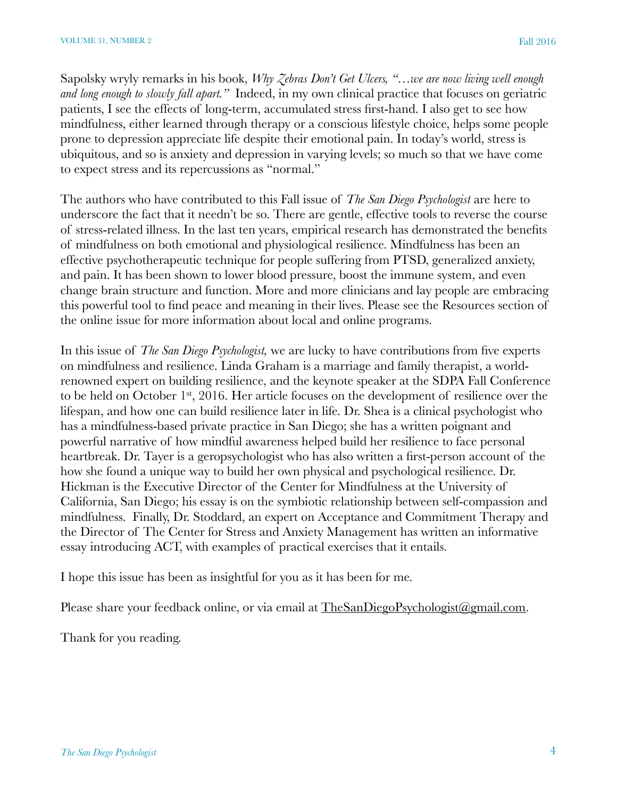Sapolsky wryly remarks in his book, *Why Zebras Don't Get Ulcers, "…we are now living well enough and long enough to slowly fall apart."* Indeed, in my own clinical practice that focuses on geriatric patients, I see the effects of long-term, accumulated stress first-hand. I also get to see how mindfulness, either learned through therapy or a conscious lifestyle choice, helps some people prone to depression appreciate life despite their emotional pain. In today's world, stress is ubiquitous, and so is anxiety and depression in varying levels; so much so that we have come to expect stress and its repercussions as "normal."

The authors who have contributed to this Fall issue of *The San Diego Psychologist* are here to underscore the fact that it needn't be so. There are gentle, effective tools to reverse the course of stress-related illness. In the last ten years, empirical research has demonstrated the benefits of mindfulness on both emotional and physiological resilience. Mindfulness has been an effective psychotherapeutic technique for people suffering from PTSD, generalized anxiety, and pain. It has been shown to lower blood pressure, boost the immune system, and even change brain structure and function. More and more clinicians and lay people are embracing this powerful tool to find peace and meaning in their lives. Please see the Resources section of the online issue for more information about local and online programs.

In this issue of *The San Diego Psychologist,* we are lucky to have contributions from five experts on mindfulness and resilience. Linda Graham is a marriage and family therapist, a worldrenowned expert on building resilience, and the keynote speaker at the SDPA Fall Conference to be held on October 1<sup>st</sup>, 2016. Her article focuses on the development of resilience over the lifespan, and how one can build resilience later in life. Dr. Shea is a clinical psychologist who has a mindfulness-based private practice in San Diego; she has a written poignant and powerful narrative of how mindful awareness helped build her resilience to face personal heartbreak. Dr. Tayer is a geropsychologist who has also written a first-person account of the how she found a unique way to build her own physical and psychological resilience. Dr. Hickman is the Executive Director of the Center for Mindfulness at the University of California, San Diego; his essay is on the symbiotic relationship between self-compassion and mindfulness. Finally, Dr. Stoddard, an expert on Acceptance and Commitment Therapy and the Director of The Center for Stress and Anxiety Management has written an informative essay introducing ACT, with examples of practical exercises that it entails.

I hope this issue has been as insightful for you as it has been for me.

Please share your feedback online, or via email at [TheSanDiegoPsychologist@gmail.com.](mailto:TheSanDiegoPsychologist@gmail.com)

Thank for you reading.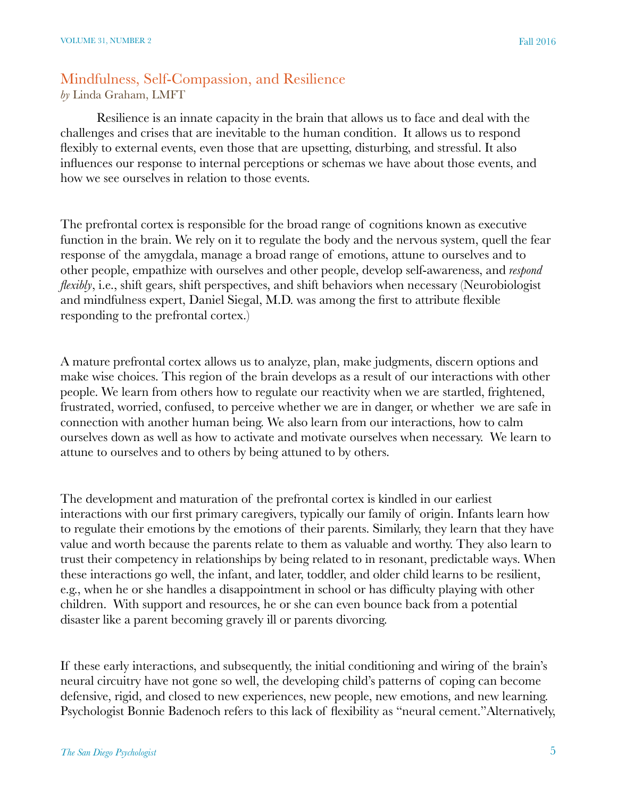# Mindfulness, Self-Compassion, and Resilience

*by* Linda Graham, LMFT

Resilience is an innate capacity in the brain that allows us to face and deal with the challenges and crises that are inevitable to the human condition. It allows us to respond flexibly to external events, even those that are upsetting, disturbing, and stressful. It also influences our response to internal perceptions or schemas we have about those events, and how we see ourselves in relation to those events.

The prefrontal cortex is responsible for the broad range of cognitions known as executive function in the brain. We rely on it to regulate the body and the nervous system, quell the fear response of the amygdala, manage a broad range of emotions, attune to ourselves and to other people, empathize with ourselves and other people, develop self-awareness, and *respond flexibly*, i.e., shift gears, shift perspectives, and shift behaviors when necessary (Neurobiologist and mindfulness expert, Daniel Siegal, M.D. was among the first to attribute flexible responding to the prefrontal cortex.)

A mature prefrontal cortex allows us to analyze, plan, make judgments, discern options and make wise choices. This region of the brain develops as a result of our interactions with other people. We learn from others how to regulate our reactivity when we are startled, frightened, frustrated, worried, confused, to perceive whether we are in danger, or whether we are safe in connection with another human being. We also learn from our interactions, how to calm ourselves down as well as how to activate and motivate ourselves when necessary. We learn to attune to ourselves and to others by being attuned to by others.

The development and maturation of the prefrontal cortex is kindled in our earliest interactions with our first primary caregivers, typically our family of origin. Infants learn how to regulate their emotions by the emotions of their parents. Similarly, they learn that they have value and worth because the parents relate to them as valuable and worthy. They also learn to trust their competency in relationships by being related to in resonant, predictable ways. When these interactions go well, the infant, and later, toddler, and older child learns to be resilient, e.g., when he or she handles a disappointment in school or has difficulty playing with other children. With support and resources, he or she can even bounce back from a potential disaster like a parent becoming gravely ill or parents divorcing.

If these early interactions, and subsequently, the initial conditioning and wiring of the brain's neural circuitry have not gone so well, the developing child's patterns of coping can become defensive, rigid, and closed to new experiences, new people, new emotions, and new learning. Psychologist Bonnie Badenoch refers to this lack of flexibility as "neural cement."Alternatively,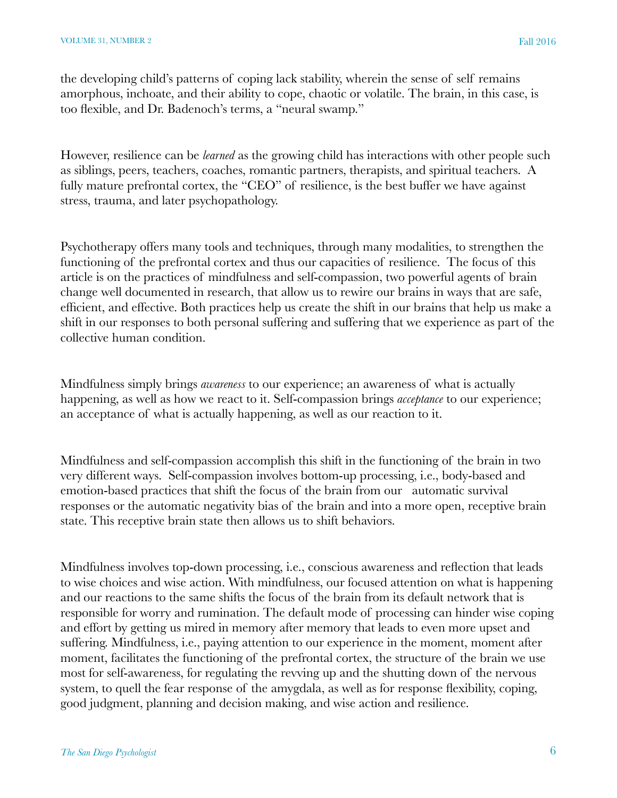the developing child's patterns of coping lack stability, wherein the sense of self remains amorphous, inchoate, and their ability to cope, chaotic or volatile. The brain, in this case, is too flexible, and Dr. Badenoch's terms, a "neural swamp."

However, resilience can be *learned* as the growing child has interactions with other people such as siblings, peers, teachers, coaches, romantic partners, therapists, and spiritual teachers. A fully mature prefrontal cortex, the "CEO" of resilience, is the best buffer we have against stress, trauma, and later psychopathology.

Psychotherapy offers many tools and techniques, through many modalities, to strengthen the functioning of the prefrontal cortex and thus our capacities of resilience. The focus of this article is on the practices of mindfulness and self-compassion, two powerful agents of brain change well documented in research, that allow us to rewire our brains in ways that are safe, efficient, and effective. Both practices help us create the shift in our brains that help us make a shift in our responses to both personal suffering and suffering that we experience as part of the collective human condition.

Mindfulness simply brings *awareness* to our experience; an awareness of what is actually happening, as well as how we react to it. Self-compassion brings *acceptance* to our experience; an acceptance of what is actually happening, as well as our reaction to it.

Mindfulness and self-compassion accomplish this shift in the functioning of the brain in two very different ways. Self-compassion involves bottom-up processing, i.e., body-based and emotion-based practices that shift the focus of the brain from our automatic survival responses or the automatic negativity bias of the brain and into a more open, receptive brain state. This receptive brain state then allows us to shift behaviors.

Mindfulness involves top-down processing, i.e., conscious awareness and reflection that leads to wise choices and wise action. With mindfulness, our focused attention on what is happening and our reactions to the same shifts the focus of the brain from its default network that is responsible for worry and rumination. The default mode of processing can hinder wise coping and effort by getting us mired in memory after memory that leads to even more upset and suffering. Mindfulness, i.e., paying attention to our experience in the moment, moment after moment, facilitates the functioning of the prefrontal cortex, the structure of the brain we use most for self-awareness, for regulating the revving up and the shutting down of the nervous system, to quell the fear response of the amygdala, as well as for response flexibility, coping, good judgment, planning and decision making, and wise action and resilience.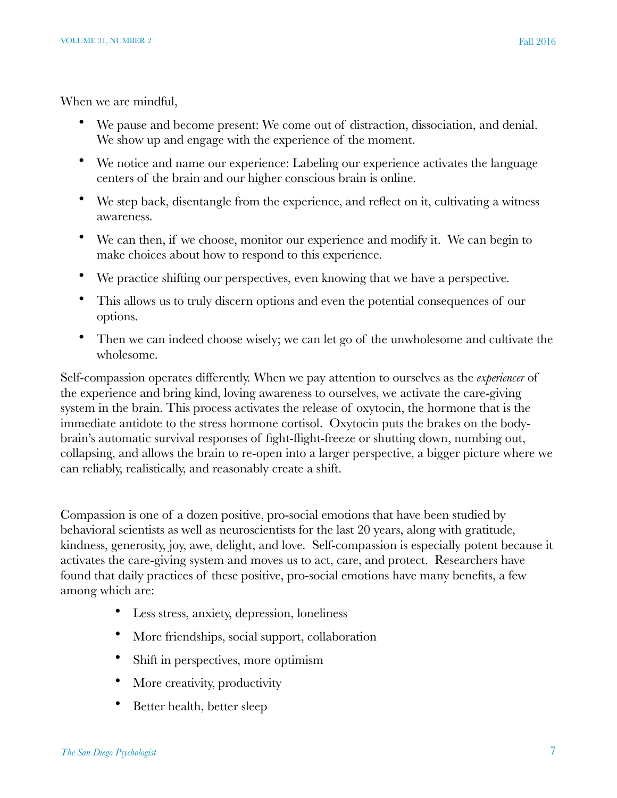When we are mindful,

- We pause and become present: We come out of distraction, dissociation, and denial. We show up and engage with the experience of the moment.
- We notice and name our experience: Labeling our experience activates the language centers of the brain and our higher conscious brain is online.
- We step back, disentangle from the experience, and reflect on it, cultivating a witness awareness.
- We can then, if we choose, monitor our experience and modify it. We can begin to make choices about how to respond to this experience.
- We practice shifting our perspectives, even knowing that we have a perspective.
- This allows us to truly discern options and even the potential consequences of our options.
- Then we can indeed choose wisely; we can let go of the unwholesome and cultivate the wholesome.

Self-compassion operates differently. When we pay attention to ourselves as the *experiencer* of the experience and bring kind, loving awareness to ourselves, we activate the care-giving system in the brain. This process activates the release of oxytocin, the hormone that is the immediate antidote to the stress hormone cortisol. Oxytocin puts the brakes on the bodybrain's automatic survival responses of fight-flight-freeze or shutting down, numbing out, collapsing, and allows the brain to re-open into a larger perspective, a bigger picture where we can reliably, realistically, and reasonably create a shift.

Compassion is one of a dozen positive, pro-social emotions that have been studied by behavioral scientists as well as neuroscientists for the last 20 years, along with gratitude, kindness, generosity, joy, awe, delight, and love. Self-compassion is especially potent because it activates the care-giving system and moves us to act, care, and protect. Researchers have found that daily practices of these positive, pro-social emotions have many benefits, a few among which are:

- Less stress, anxiety, depression, loneliness
- More friendships, social support, collaboration
- Shift in perspectives, more optimism
- More creativity, productivity
- Better health, better sleep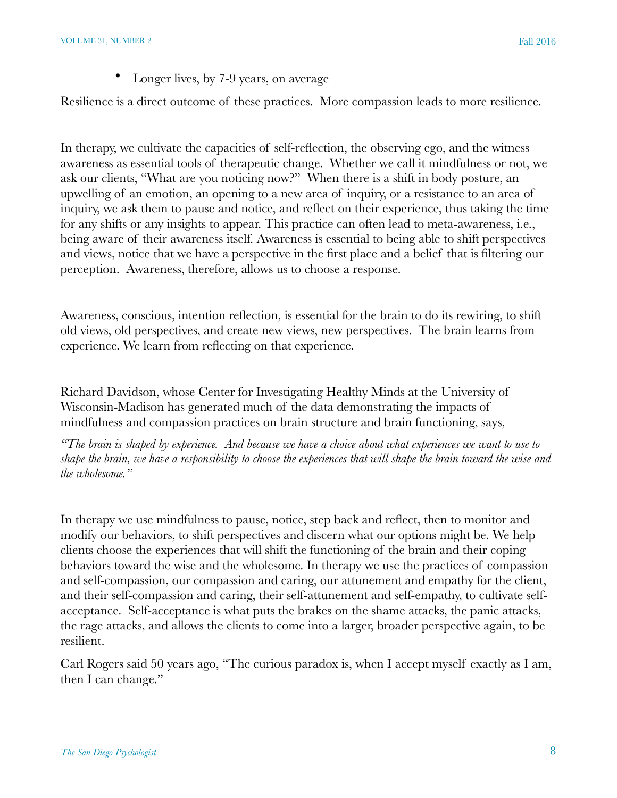Longer lives, by 7-9 years, on average

Resilience is a direct outcome of these practices. More compassion leads to more resilience.

In therapy, we cultivate the capacities of self-reflection, the observing ego, and the witness awareness as essential tools of therapeutic change. Whether we call it mindfulness or not, we ask our clients, "What are you noticing now?" When there is a shift in body posture, an upwelling of an emotion, an opening to a new area of inquiry, or a resistance to an area of inquiry, we ask them to pause and notice, and reflect on their experience, thus taking the time for any shifts or any insights to appear. This practice can often lead to meta-awareness, i.e., being aware of their awareness itself. Awareness is essential to being able to shift perspectives and views, notice that we have a perspective in the first place and a belief that is filtering our perception. Awareness, therefore, allows us to choose a response.

Awareness, conscious, intention reflection, is essential for the brain to do its rewiring, to shift old views, old perspectives, and create new views, new perspectives. The brain learns from experience. We learn from reflecting on that experience.

Richard Davidson, whose Center for Investigating Healthy Minds at the University of Wisconsin-Madison has generated much of the data demonstrating the impacts of mindfulness and compassion practices on brain structure and brain functioning, says,

*"The brain is shaped by experience. And because we have a choice about what experiences we want to use to shape the brain, we have a responsibility to choose the experiences that will shape the brain toward the wise and the wholesome."*

In therapy we use mindfulness to pause, notice, step back and reflect, then to monitor and modify our behaviors, to shift perspectives and discern what our options might be. We help clients choose the experiences that will shift the functioning of the brain and their coping behaviors toward the wise and the wholesome. In therapy we use the practices of compassion and self-compassion, our compassion and caring, our attunement and empathy for the client, and their self-compassion and caring, their self-attunement and self-empathy, to cultivate selfacceptance. Self-acceptance is what puts the brakes on the shame attacks, the panic attacks, the rage attacks, and allows the clients to come into a larger, broader perspective again, to be resilient.

Carl Rogers said 50 years ago, "The curious paradox is, when I accept myself exactly as I am, then I can change."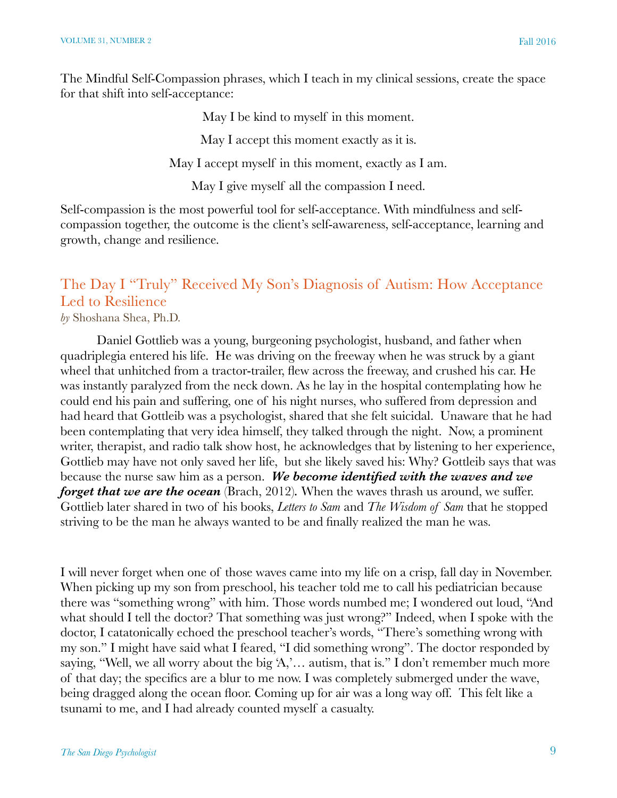The Mindful Self-Compassion phrases, which I teach in my clinical sessions, create the space for that shift into self-acceptance:

May I be kind to myself in this moment.

May I accept this moment exactly as it is.

May I accept myself in this moment, exactly as I am.

May I give myself all the compassion I need.

Self-compassion is the most powerful tool for self-acceptance. With mindfulness and selfcompassion together, the outcome is the client's self-awareness, self-acceptance, learning and growth, change and resilience.

# The Day I "Truly" Received My Son's Diagnosis of Autism: How Acceptance Led to Resilience

*by* Shoshana Shea, Ph.D.

Daniel Gottlieb was a young, burgeoning psychologist, husband, and father when quadriplegia entered his life. He was driving on the freeway when he was struck by a giant wheel that unhitched from a tractor-trailer, flew across the freeway, and crushed his car. He was instantly paralyzed from the neck down. As he lay in the hospital contemplating how he could end his pain and suffering, one of his night nurses, who suffered from depression and had heard that Gottleib was a psychologist, shared that she felt suicidal. Unaware that he had been contemplating that very idea himself, they talked through the night. Now, a prominent writer, therapist, and radio talk show host, he acknowledges that by listening to her experience, Gottlieb may have not only saved her life, but she likely saved his: Why? Gottleib says that was because the nurse saw him as a person. *We become identified with the waves and we forget that we are the ocean* (Brach, 2012). When the waves thrash us around, we suffer. Gottlieb later shared in two of his books, *Letters to Sam* and *The Wisdom of Sam* that he stopped striving to be the man he always wanted to be and finally realized the man he was.

I will never forget when one of those waves came into my life on a crisp, fall day in November. When picking up my son from preschool, his teacher told me to call his pediatrician because there was "something wrong" with him. Those words numbed me; I wondered out loud, "And what should I tell the doctor? That something was just wrong?" Indeed, when I spoke with the doctor, I catatonically echoed the preschool teacher's words, "There's something wrong with my son." I might have said what I feared, "I did something wrong". The doctor responded by saying, "Well, we all worry about the big 'A,'... autism, that is." I don't remember much more of that day; the specifics are a blur to me now. I was completely submerged under the wave, being dragged along the ocean floor. Coming up for air was a long way off. This felt like a tsunami to me, and I had already counted myself a casualty.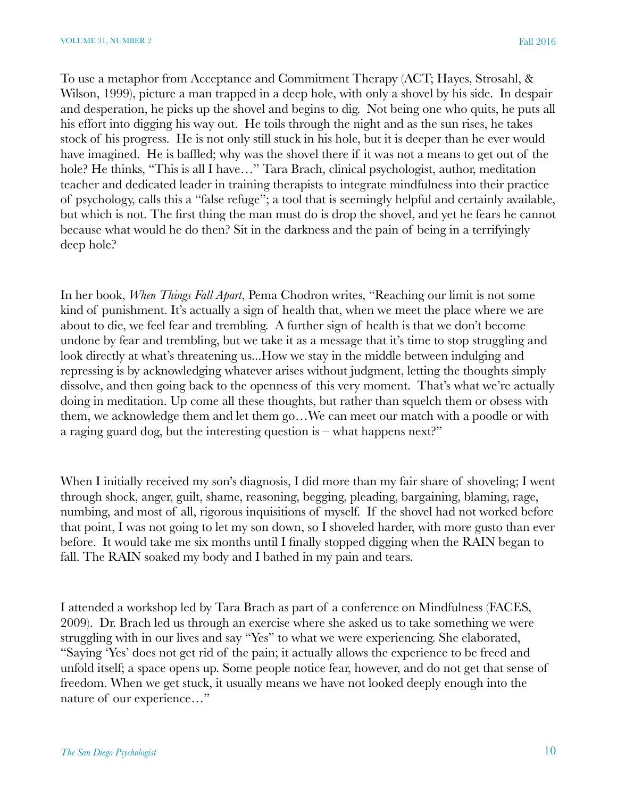To use a metaphor from Acceptance and Commitment Therapy (ACT; Hayes, Strosahl, & Wilson, 1999), picture a man trapped in a deep hole, with only a shovel by his side. In despair and desperation, he picks up the shovel and begins to dig. Not being one who quits, he puts all his effort into digging his way out. He toils through the night and as the sun rises, he takes stock of his progress. He is not only still stuck in his hole, but it is deeper than he ever would have imagined. He is baffled; why was the shovel there if it was not a means to get out of the hole? He thinks, "This is all I have…" Tara Brach, clinical psychologist, author, meditation teacher and dedicated leader in training therapists to integrate mindfulness into their practice of psychology, calls this a "false refuge"; a tool that is seemingly helpful and certainly available, but which is not. The first thing the man must do is drop the shovel, and yet he fears he cannot because what would he do then? Sit in the darkness and the pain of being in a terrifyingly deep hole?

In her book, *When Things Fall Apart*, Pema Chodron writes, "Reaching our limit is not some kind of punishment. It's actually a sign of health that, when we meet the place where we are about to die, we feel fear and trembling. A further sign of health is that we don't become undone by fear and trembling, but we take it as a message that it's time to stop struggling and look directly at what's threatening us...How we stay in the middle between indulging and repressing is by acknowledging whatever arises without judgment, letting the thoughts simply dissolve, and then going back to the openness of this very moment. That's what we're actually doing in meditation. Up come all these thoughts, but rather than squelch them or obsess with them, we acknowledge them and let them go…We can meet our match with a poodle or with a raging guard dog, but the interesting question is  $-$  what happens next?"

When I initially received my son's diagnosis, I did more than my fair share of shoveling; I went through shock, anger, guilt, shame, reasoning, begging, pleading, bargaining, blaming, rage, numbing, and most of all, rigorous inquisitions of myself. If the shovel had not worked before that point, I was not going to let my son down, so I shoveled harder, with more gusto than ever before. It would take me six months until I finally stopped digging when the RAIN began to fall. The RAIN soaked my body and I bathed in my pain and tears.

I attended a workshop led by Tara Brach as part of a conference on Mindfulness (FACES, 2009). Dr. Brach led us through an exercise where she asked us to take something we were struggling with in our lives and say "Yes" to what we were experiencing. She elaborated, "Saying 'Yes' does not get rid of the pain; it actually allows the experience to be freed and unfold itself; a space opens up. Some people notice fear, however, and do not get that sense of freedom. When we get stuck, it usually means we have not looked deeply enough into the nature of our experience…"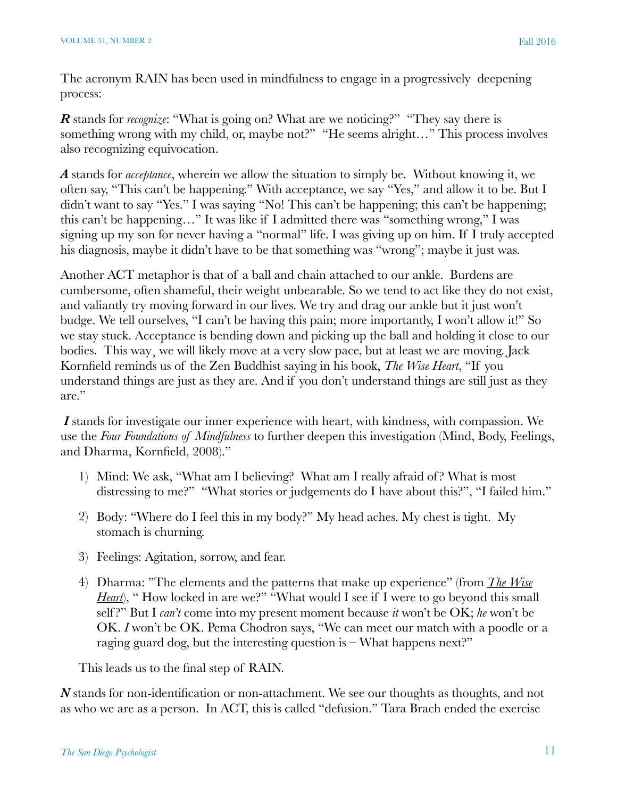The acronym RAIN has been used in mindfulness to engage in a progressively deepening process:

*R* stands for *recognize*: "What is going on? What are we noticing?" "They say there is something wrong with my child, or, maybe not?" "He seems alright…" This process involves also recognizing equivocation.

*A* stands for *acceptance*, wherein we allow the situation to simply be. Without knowing it, we often say, "This can't be happening." With acceptance, we say "Yes," and allow it to be. But I didn't want to say "Yes." I was saying "No! This can't be happening; this can't be happening; this can't be happening…" It was like if I admitted there was "something wrong," I was signing up my son for never having a "normal" life. I was giving up on him. If I truly accepted his diagnosis, maybe it didn't have to be that something was "wrong"; maybe it just was.

Another ACT metaphor is that of a ball and chain attached to our ankle. Burdens are cumbersome, often shameful, their weight unbearable. So we tend to act like they do not exist, and valiantly try moving forward in our lives. We try and drag our ankle but it just won't budge. We tell ourselves, "I can't be having this pain; more importantly, I won't allow it!" So we stay stuck. Acceptance is bending down and picking up the ball and holding it close to our bodies. This way, we will likely move at a very slow pace, but at least we are moving. Jack Kornfield reminds us of the Zen Buddhist saying in his book, *The Wise Heart*, "If you understand things are just as they are. And if you don't understand things are still just as they are."

*I* stands for investigate our inner experience with heart, with kindness, with compassion. We use the *Four Foundations of Mindfulness* to further deepen this investigation (Mind, Body, Feelings, and Dharma, Kornfield, 2008)."

- 1) Mind: We ask, "What am I believing? What am I really afraid of ? What is most distressing to me?" "What stories or judgements do I have about this?", "I failed him."
- 2) Body: "Where do I feel this in my body?" My head aches. My chest is tight. My stomach is churning.
- 3) Feelings: Agitation, sorrow, and fear.
- 4) Dharma: "The elements and the patterns that make up experience" (from *The Wise Heart*), "How locked in are we?" "What would I see if I were to go beyond this small self ?" But I *can't* come into my present moment because *it* won't be OK; *he* won't be OK. *I* won't be OK. Pema Chodron says, "We can meet our match with a poodle or a raging guard dog, but the interesting question is  $-$  What happens next?"

This leads us to the final step of RAIN.

*N* stands for non-identification or non-attachment. We see our thoughts as thoughts, and not as who we are as a person. In ACT, this is called "defusion." Tara Brach ended the exercise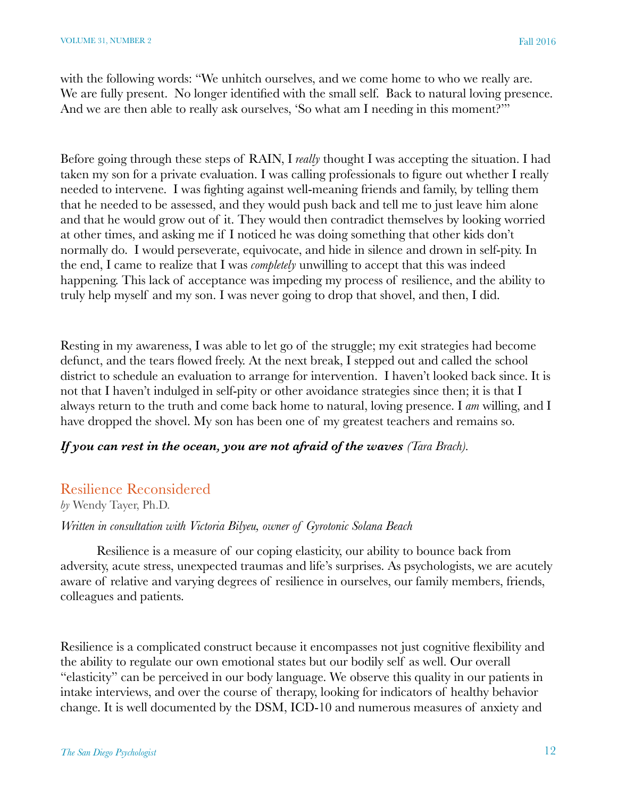with the following words: "We unhitch ourselves, and we come home to who we really are. We are fully present. No longer identified with the small self. Back to natural loving presence. And we are then able to really ask ourselves, 'So what am I needing in this moment?'"

Before going through these steps of RAIN, I *really* thought I was accepting the situation. I had taken my son for a private evaluation. I was calling professionals to figure out whether I really needed to intervene. I was fighting against well-meaning friends and family, by telling them that he needed to be assessed, and they would push back and tell me to just leave him alone and that he would grow out of it. They would then contradict themselves by looking worried at other times, and asking me if I noticed he was doing something that other kids don't normally do. I would perseverate, equivocate, and hide in silence and drown in self-pity. In the end, I came to realize that I was *completely* unwilling to accept that this was indeed happening. This lack of acceptance was impeding my process of resilience, and the ability to truly help myself and my son. I was never going to drop that shovel, and then, I did.

Resting in my awareness, I was able to let go of the struggle; my exit strategies had become defunct, and the tears flowed freely. At the next break, I stepped out and called the school district to schedule an evaluation to arrange for intervention. I haven't looked back since. It is not that I haven't indulged in self-pity or other avoidance strategies since then; it is that I always return to the truth and come back home to natural, loving presence. I *am* willing, and I have dropped the shovel. My son has been one of my greatest teachers and remains so.

### *If you can rest in the ocean, you are not afraid of the waves (Tara Brach).*

### Resilience Reconsidered

*by* Wendy Tayer, Ph.D.

*Written in consultation with Victoria Bilyeu, owner of Gyrotonic Solana Beach*

Resilience is a measure of our coping elasticity, our ability to bounce back from adversity, acute stress, unexpected traumas and life's surprises. As psychologists, we are acutely aware of relative and varying degrees of resilience in ourselves, our family members, friends, colleagues and patients.

Resilience is a complicated construct because it encompasses not just cognitive flexibility and the ability to regulate our own emotional states but our bodily self as well. Our overall "elasticity" can be perceived in our body language. We observe this quality in our patients in intake interviews, and over the course of therapy, looking for indicators of healthy behavior change. It is well documented by the DSM, ICD-10 and numerous measures of anxiety and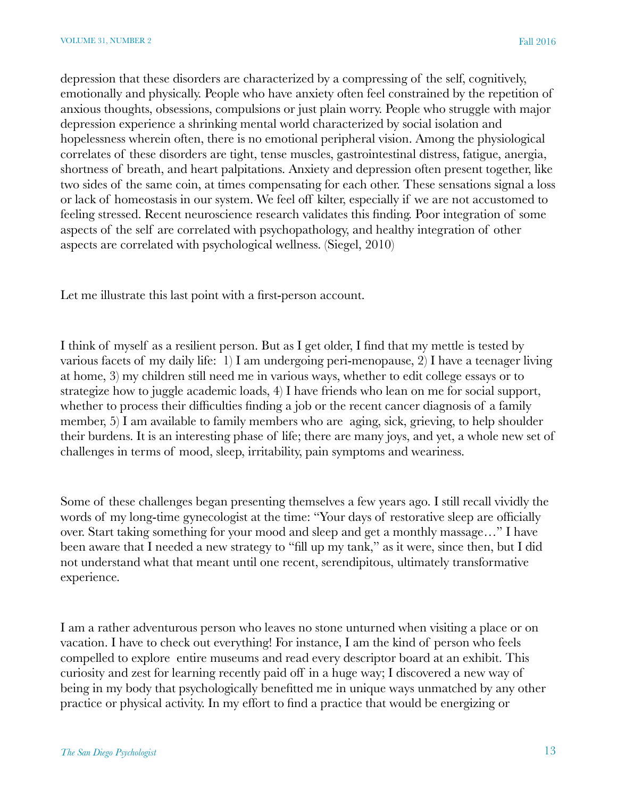depression that these disorders are characterized by a compressing of the self, cognitively, emotionally and physically. People who have anxiety often feel constrained by the repetition of anxious thoughts, obsessions, compulsions or just plain worry. People who struggle with major depression experience a shrinking mental world characterized by social isolation and hopelessness wherein often, there is no emotional peripheral vision. Among the physiological correlates of these disorders are tight, tense muscles, gastrointestinal distress, fatigue, anergia, shortness of breath, and heart palpitations. Anxiety and depression often present together, like two sides of the same coin, at times compensating for each other. These sensations signal a loss or lack of homeostasis in our system. We feel off kilter, especially if we are not accustomed to feeling stressed. Recent neuroscience research validates this finding. Poor integration of some aspects of the self are correlated with psychopathology, and healthy integration of other aspects are correlated with psychological wellness. (Siegel, 2010)

Let me illustrate this last point with a first-person account.

I think of myself as a resilient person. But as I get older, I find that my mettle is tested by various facets of my daily life: 1) I am undergoing peri-menopause, 2) I have a teenager living at home, 3) my children still need me in various ways, whether to edit college essays or to strategize how to juggle academic loads, 4) I have friends who lean on me for social support, whether to process their difficulties finding a job or the recent cancer diagnosis of a family member, 5) I am available to family members who are aging, sick, grieving, to help shoulder their burdens. It is an interesting phase of life; there are many joys, and yet, a whole new set of challenges in terms of mood, sleep, irritability, pain symptoms and weariness.

Some of these challenges began presenting themselves a few years ago. I still recall vividly the words of my long-time gynecologist at the time: "Your days of restorative sleep are officially over. Start taking something for your mood and sleep and get a monthly massage…" I have been aware that I needed a new strategy to "fill up my tank," as it were, since then, but I did not understand what that meant until one recent, serendipitous, ultimately transformative experience.

I am a rather adventurous person who leaves no stone unturned when visiting a place or on vacation. I have to check out everything! For instance, I am the kind of person who feels compelled to explore entire museums and read every descriptor board at an exhibit. This curiosity and zest for learning recently paid off in a huge way; I discovered a new way of being in my body that psychologically benefitted me in unique ways unmatched by any other practice or physical activity. In my effort to find a practice that would be energizing or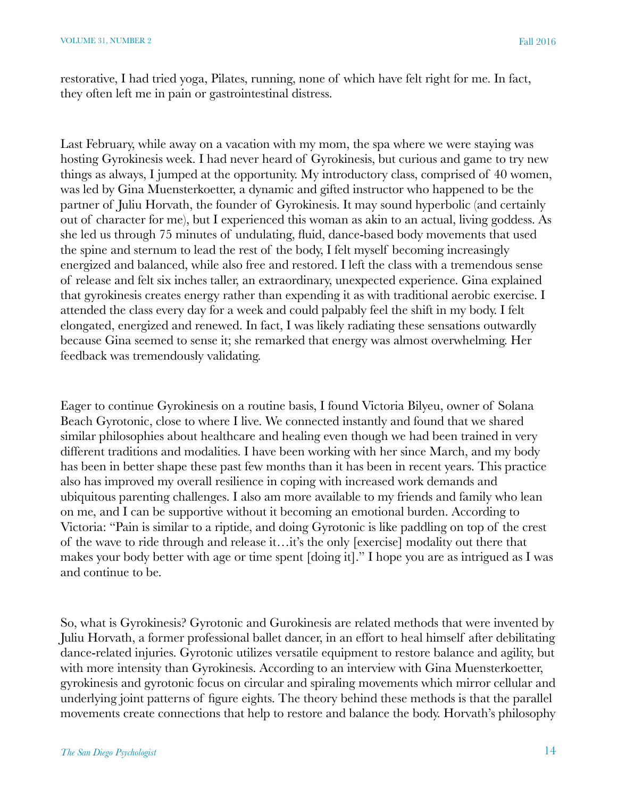restorative, I had tried yoga, Pilates, running, none of which have felt right for me. In fact, they often left me in pain or gastrointestinal distress.

Last February, while away on a vacation with my mom, the spa where we were staying was hosting Gyrokinesis week. I had never heard of Gyrokinesis, but curious and game to try new things as always, I jumped at the opportunity. My introductory class, comprised of 40 women, was led by Gina Muensterkoetter, a dynamic and gifted instructor who happened to be the partner of Juliu Horvath, the founder of Gyrokinesis. It may sound hyperbolic (and certainly out of character for me), but I experienced this woman as akin to an actual, living goddess. As she led us through 75 minutes of undulating, fluid, dance-based body movements that used the spine and sternum to lead the rest of the body, I felt myself becoming increasingly energized and balanced, while also free and restored. I left the class with a tremendous sense of release and felt six inches taller, an extraordinary, unexpected experience. Gina explained that gyrokinesis creates energy rather than expending it as with traditional aerobic exercise. I attended the class every day for a week and could palpably feel the shift in my body. I felt elongated, energized and renewed. In fact, I was likely radiating these sensations outwardly because Gina seemed to sense it; she remarked that energy was almost overwhelming. Her feedback was tremendously validating.

Eager to continue Gyrokinesis on a routine basis, I found Victoria Bilyeu, owner of Solana Beach Gyrotonic, close to where I live. We connected instantly and found that we shared similar philosophies about healthcare and healing even though we had been trained in very different traditions and modalities. I have been working with her since March, and my body has been in better shape these past few months than it has been in recent years. This practice also has improved my overall resilience in coping with increased work demands and ubiquitous parenting challenges. I also am more available to my friends and family who lean on me, and I can be supportive without it becoming an emotional burden. According to Victoria: "Pain is similar to a riptide, and doing Gyrotonic is like paddling on top of the crest of the wave to ride through and release it…it's the only [exercise] modality out there that makes your body better with age or time spent [doing it]." I hope you are as intrigued as I was and continue to be.

So, what is Gyrokinesis? Gyrotonic and Gurokinesis are related methods that were invented by Juliu Horvath, a former professional ballet dancer, in an effort to heal himself after debilitating dance-related injuries. Gyrotonic utilizes versatile equipment to restore balance and agility, but with more intensity than Gyrokinesis. According to an interview with Gina Muensterkoetter, gyrokinesis and gyrotonic focus on circular and spiraling movements which mirror cellular and underlying joint patterns of figure eights. The theory behind these methods is that the parallel movements create connections that help to restore and balance the body. Horvath's philosophy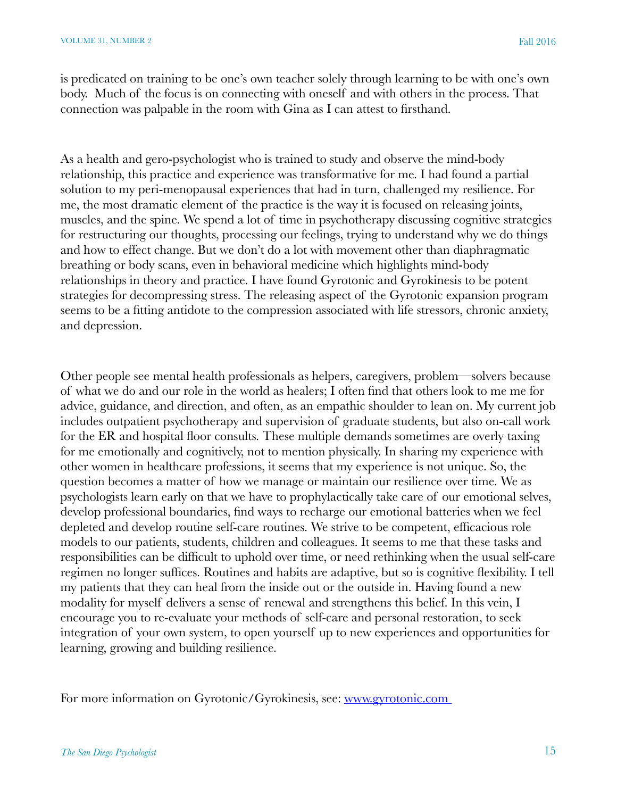is predicated on training to be one's own teacher solely through learning to be with one's own body. Much of the focus is on connecting with oneself and with others in the process. That connection was palpable in the room with Gina as I can attest to firsthand.

As a health and gero-psychologist who is trained to study and observe the mind-body relationship, this practice and experience was transformative for me. I had found a partial solution to my peri-menopausal experiences that had in turn, challenged my resilience. For me, the most dramatic element of the practice is the way it is focused on releasing joints, muscles, and the spine. We spend a lot of time in psychotherapy discussing cognitive strategies for restructuring our thoughts, processing our feelings, trying to understand why we do things and how to effect change. But we don't do a lot with movement other than diaphragmatic breathing or body scans, even in behavioral medicine which highlights mind-body relationships in theory and practice. I have found Gyrotonic and Gyrokinesis to be potent strategies for decompressing stress. The releasing aspect of the Gyrotonic expansion program seems to be a fitting antidote to the compression associated with life stressors, chronic anxiety, and depression.

Other people see mental health professionals as helpers, caregivers, problem—solvers because of what we do and our role in the world as healers; I often find that others look to me me for advice, guidance, and direction, and often, as an empathic shoulder to lean on. My current job includes outpatient psychotherapy and supervision of graduate students, but also on-call work for the ER and hospital floor consults. These multiple demands sometimes are overly taxing for me emotionally and cognitively, not to mention physically. In sharing my experience with other women in healthcare professions, it seems that my experience is not unique. So, the question becomes a matter of how we manage or maintain our resilience over time. We as psychologists learn early on that we have to prophylactically take care of our emotional selves, develop professional boundaries, find ways to recharge our emotional batteries when we feel depleted and develop routine self-care routines. We strive to be competent, efficacious role models to our patients, students, children and colleagues. It seems to me that these tasks and responsibilities can be difficult to uphold over time, or need rethinking when the usual self-care regimen no longer suffices. Routines and habits are adaptive, but so is cognitive flexibility. I tell my patients that they can heal from the inside out or the outside in. Having found a new modality for myself delivers a sense of renewal and strengthens this belief. In this vein, I encourage you to re-evaluate your methods of self-care and personal restoration, to seek integration of your own system, to open yourself up to new experiences and opportunities for learning, growing and building resilience.

For more information on Gyrotonic/Gyrokinesis, see: [www.gyrotonic.com](http://www.gyrotonic.com)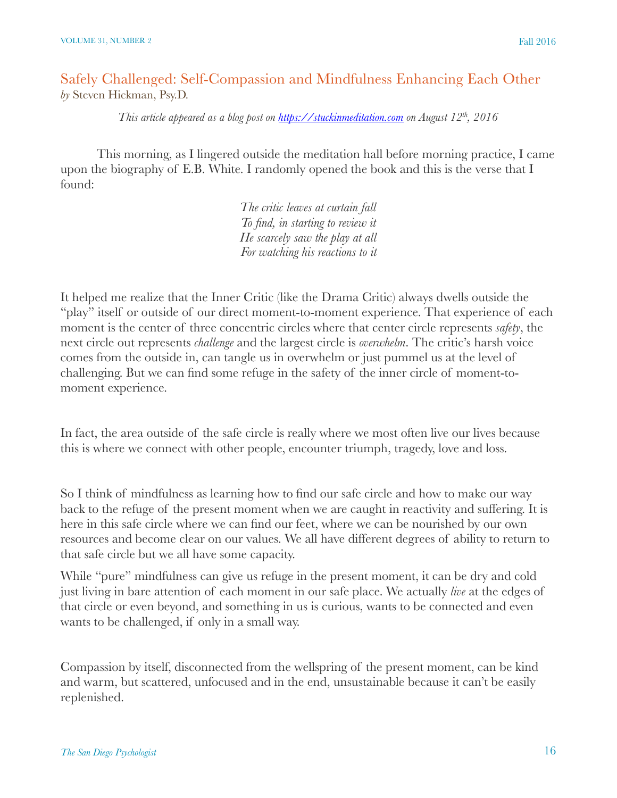### Safely Challenged: Self-Compassion and Mindfulness Enhancing Each Other *by* Steven Hickman, Psy.D.

*This article appeared as a blog post on <https://stuckinmeditation.com>on August 12th, 2016*

This morning, as I lingered outside the meditation hall before morning practice, I came upon the biography of E.B. White. I randomly opened the book and this is the verse that I found:

> *The critic leaves at curtain fall To find, in starting to review it He scarcely saw the play at all For watching his reactions to it*

It helped me realize that the Inner Critic (like the Drama Critic) always dwells outside the "play" itself or outside of our direct moment-to-moment experience. That experience of each moment is the center of three concentric circles where that center circle represents *safety*, the next circle out represents *challenge* and the largest circle is *overwhelm*. The critic's harsh voice comes from the outside in, can tangle us in overwhelm or just pummel us at the level of challenging. But we can find some refuge in the safety of the inner circle of moment-tomoment experience.

In fact, the area outside of the safe circle is really where we most often live our lives because this is where we connect with other people, encounter triumph, tragedy, love and loss.

So I think of mindfulness as learning how to find our safe circle and how to make our way back to the refuge of the present moment when we are caught in reactivity and suffering. It is here in this safe circle where we can find our feet, where we can be nourished by our own resources and become clear on our values. We all have different degrees of ability to return to that safe circle but we all have some capacity.

While "pure" mindfulness can give us refuge in the present moment, it can be dry and cold just living in bare attention of each moment in our safe place. We actually *live* at the edges of that circle or even beyond, and something in us is curious, wants to be connected and even wants to be challenged, if only in a small way.

Compassion by itself, disconnected from the wellspring of the present moment, can be kind and warm, but scattered, unfocused and in the end, unsustainable because it can't be easily replenished.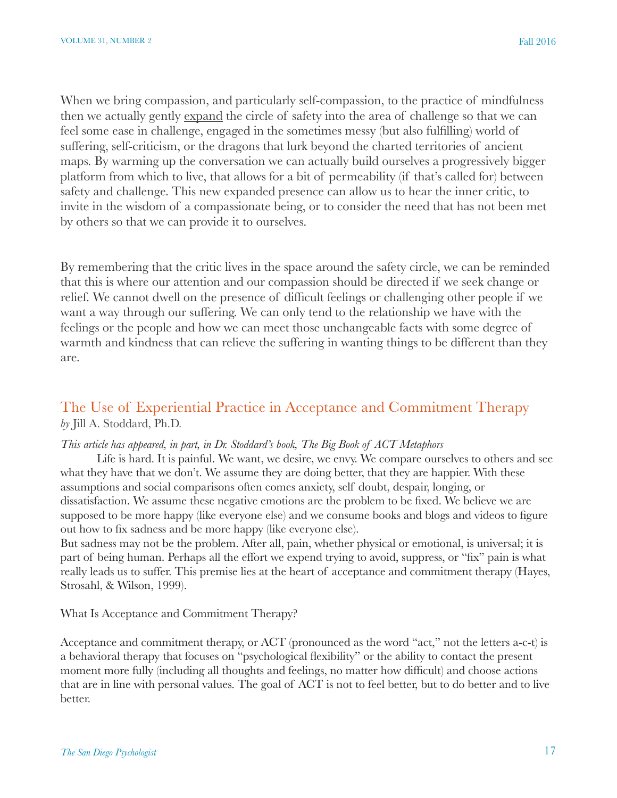When we bring compassion, and particularly self-compassion, to the practice of mindfulness then we actually gently expand the circle of safety into the area of challenge so that we can feel some ease in challenge, engaged in the sometimes messy (but also fulfilling) world of suffering, self-criticism, or the dragons that lurk beyond the charted territories of ancient maps. By warming up the conversation we can actually build ourselves a progressively bigger platform from which to live, that allows for a bit of permeability (if that's called for) between safety and challenge. This new expanded presence can allow us to hear the inner critic, to invite in the wisdom of a compassionate being, or to consider the need that has not been met by others so that we can provide it to ourselves.

By remembering that the critic lives in the space around the safety circle, we can be reminded that this is where our attention and our compassion should be directed if we seek change or relief. We cannot dwell on the presence of difficult feelings or challenging other people if we want a way through our suffering. We can only tend to the relationship we have with the feelings or the people and how we can meet those unchangeable facts with some degree of warmth and kindness that can relieve the suffering in wanting things to be different than they are.

### The Use of Experiential Practice in Acceptance and Commitment Therapy *by* Jill A. Stoddard, Ph.D.

### *This article has appeared, in part, in Dr. Stoddard's book, The Big Book of ACT Metaphors*

Life is hard. It is painful. We want, we desire, we envy. We compare ourselves to others and see what they have that we don't. We assume they are doing better, that they are happier. With these assumptions and social comparisons often comes anxiety, self doubt, despair, longing, or dissatisfaction. We assume these negative emotions are the problem to be fixed. We believe we are supposed to be more happy (like everyone else) and we consume books and blogs and videos to figure out how to fix sadness and be more happy (like everyone else).

But sadness may not be the problem. After all, pain, whether physical or emotional, is universal; it is part of being human. Perhaps all the effort we expend trying to avoid, suppress, or "fix" pain is what really leads us to suffer. This premise lies at the heart of acceptance and commitment therapy (Hayes, Strosahl, & Wilson, 1999).

What Is Acceptance and Commitment Therapy?

Acceptance and commitment therapy, or ACT (pronounced as the word "act," not the letters a-c-t) is a behavioral therapy that focuses on "psychological flexibility" or the ability to contact the present moment more fully (including all thoughts and feelings, no matter how difficult) and choose actions that are in line with personal values. The goal of ACT is not to feel better, but to do better and to live better.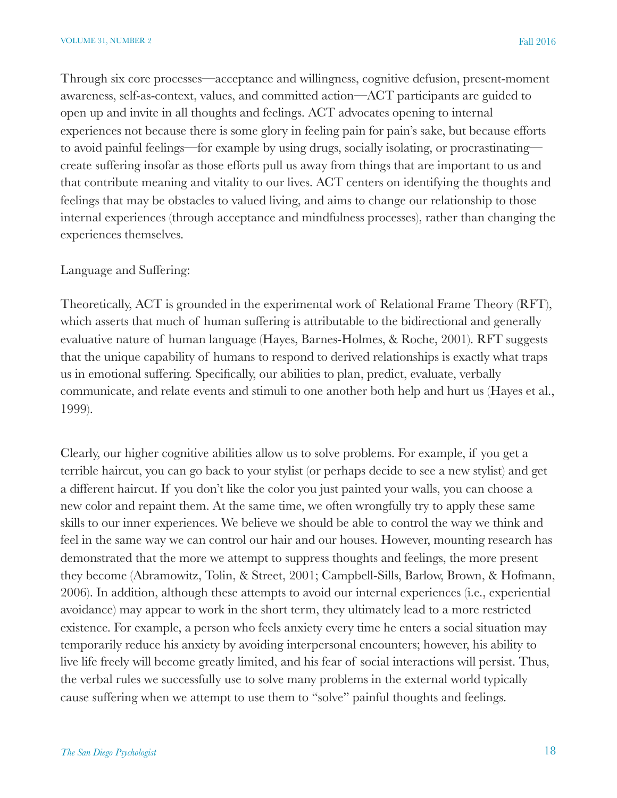Through six core processes—acceptance and willingness, cognitive defusion, present-moment awareness, self-as-context, values, and committed action—ACT participants are guided to open up and invite in all thoughts and feelings. ACT advocates opening to internal experiences not because there is some glory in feeling pain for pain's sake, but because efforts to avoid painful feelings—for example by using drugs, socially isolating, or procrastinating create suffering insofar as those efforts pull us away from things that are important to us and that contribute meaning and vitality to our lives. ACT centers on identifying the thoughts and feelings that may be obstacles to valued living, and aims to change our relationship to those internal experiences (through acceptance and mindfulness processes), rather than changing the experiences themselves.

#### Language and Suffering:

Theoretically, ACT is grounded in the experimental work of Relational Frame Theory (RFT), which asserts that much of human suffering is attributable to the bidirectional and generally evaluative nature of human language (Hayes, Barnes-Holmes, & Roche, 2001). RFT suggests that the unique capability of humans to respond to derived relationships is exactly what traps us in emotional suffering. Specifically, our abilities to plan, predict, evaluate, verbally communicate, and relate events and stimuli to one another both help and hurt us (Hayes et al., 1999).

Clearly, our higher cognitive abilities allow us to solve problems. For example, if you get a terrible haircut, you can go back to your stylist (or perhaps decide to see a new stylist) and get a different haircut. If you don't like the color you just painted your walls, you can choose a new color and repaint them. At the same time, we often wrongfully try to apply these same skills to our inner experiences. We believe we should be able to control the way we think and feel in the same way we can control our hair and our houses. However, mounting research has demonstrated that the more we attempt to suppress thoughts and feelings, the more present they become (Abramowitz, Tolin, & Street, 2001; Campbell-Sills, Barlow, Brown, & Hofmann, 2006). In addition, although these attempts to avoid our internal experiences (i.e., experiential avoidance) may appear to work in the short term, they ultimately lead to a more restricted existence. For example, a person who feels anxiety every time he enters a social situation may temporarily reduce his anxiety by avoiding interpersonal encounters; however, his ability to live life freely will become greatly limited, and his fear of social interactions will persist. Thus, the verbal rules we successfully use to solve many problems in the external world typically cause suffering when we attempt to use them to "solve" painful thoughts and feelings.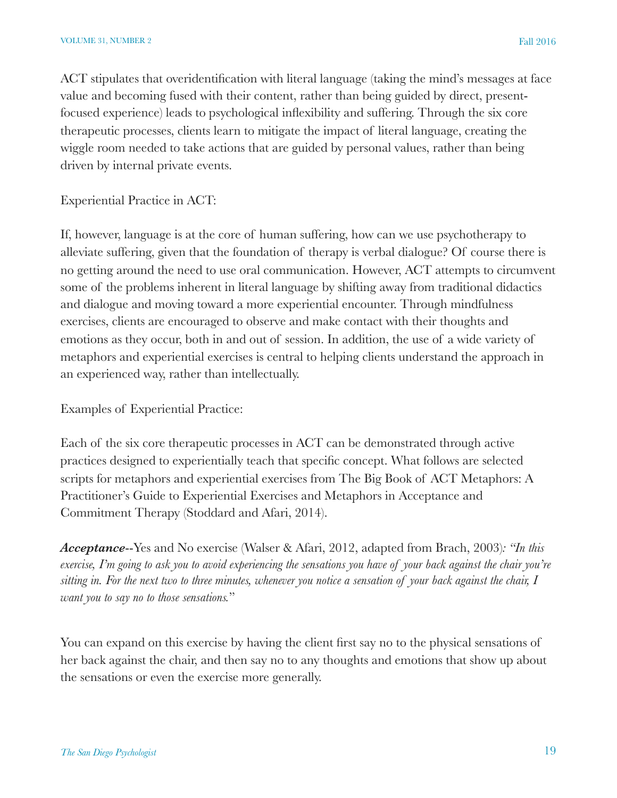ACT stipulates that overidentification with literal language (taking the mind's messages at face value and becoming fused with their content, rather than being guided by direct, presentfocused experience) leads to psychological inflexibility and suffering. Through the six core therapeutic processes, clients learn to mitigate the impact of literal language, creating the wiggle room needed to take actions that are guided by personal values, rather than being driven by internal private events.

Experiential Practice in ACT:

If, however, language is at the core of human suffering, how can we use psychotherapy to alleviate suffering, given that the foundation of therapy is verbal dialogue? Of course there is no getting around the need to use oral communication. However, ACT attempts to circumvent some of the problems inherent in literal language by shifting away from traditional didactics and dialogue and moving toward a more experiential encounter. Through mindfulness exercises, clients are encouraged to observe and make contact with their thoughts and emotions as they occur, both in and out of session. In addition, the use of a wide variety of metaphors and experiential exercises is central to helping clients understand the approach in an experienced way, rather than intellectually.

Examples of Experiential Practice:

Each of the six core therapeutic processes in ACT can be demonstrated through active practices designed to experientially teach that specific concept. What follows are selected scripts for metaphors and experiential exercises from The Big Book of ACT Metaphors: A Practitioner's Guide to Experiential Exercises and Metaphors in Acceptance and Commitment Therapy (Stoddard and Afari, 2014).

*Acceptance*--Yes and No exercise (Walser & Afari, 2012, adapted from Brach, 2003)*: "In this exercise, I'm going to ask you to avoid experiencing the sensations you have of your back against the chair you're sitting in. For the next two to three minutes, whenever you notice a sensation of your back against the chair, I want you to say no to those sensations.*"

You can expand on this exercise by having the client first say no to the physical sensations of her back against the chair, and then say no to any thoughts and emotions that show up about the sensations or even the exercise more generally.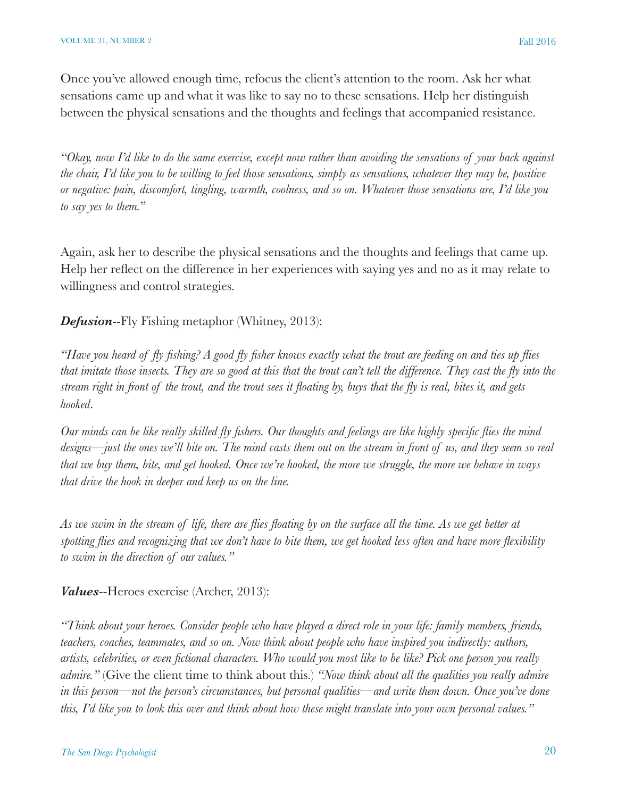Once you've allowed enough time, refocus the client's attention to the room. Ask her what sensations came up and what it was like to say no to these sensations. Help her distinguish between the physical sensations and the thoughts and feelings that accompanied resistance.

*"Okay, now I'd like to do the same exercise, except now rather than avoiding the sensations of your back against the chair, I'd like you to be willing to feel those sensations, simply as sensations, whatever they may be, positive or negative: pain, discomfort, tingling, warmth, coolness, and so on. Whatever those sensations are, I'd like you to say yes to them.*"

Again, ask her to describe the physical sensations and the thoughts and feelings that came up. Help her reflect on the difference in her experiences with saying yes and no as it may relate to willingness and control strategies.

*Defusion*--Fly Fishing metaphor (Whitney, 2013):

*"Have you heard of fly fishing? A good fly fisher knows exactly what the trout are feeding on and ties up flies that imitate those insects. They are so good at this that the trout can't tell the difference. They cast the fly into the stream right in front of the trout, and the trout sees it floating by, buys that the fly is real, bites it, and gets hooked*.

*Our minds can be like really skilled fly fishers. Our thoughts and feelings are like highly specific flies the mind designs—just the ones we'll bite on. The mind casts them out on the stream in front of us, and they seem so real that we buy them, bite, and get hooked. Once we're hooked, the more we struggle, the more we behave in ways that drive the hook in deeper and keep us on the line.*

*As we swim in the stream of life, there are flies floating by on the surface all the time. As we get better at spotting flies and recognizing that we don't have to bite them, we get hooked less often and have more flexibility to swim in the direction of our values."*

*Values*--Heroes exercise (Archer, 2013):

*"Think about your heroes. Consider people who have played a direct role in your life: family members, friends, teachers, coaches, teammates, and so on. Now think about people who have inspired you indirectly: authors, artists, celebrities, or even fictional characters. Who would you most like to be like? Pick one person you really admire."* (Give the client time to think about this.) *"Now think about all the qualities you really admire in this person—not the person's circumstances, but personal qualities—and write them down. Once you've done this, I'd like you to look this over and think about how these might translate into your own personal values."*